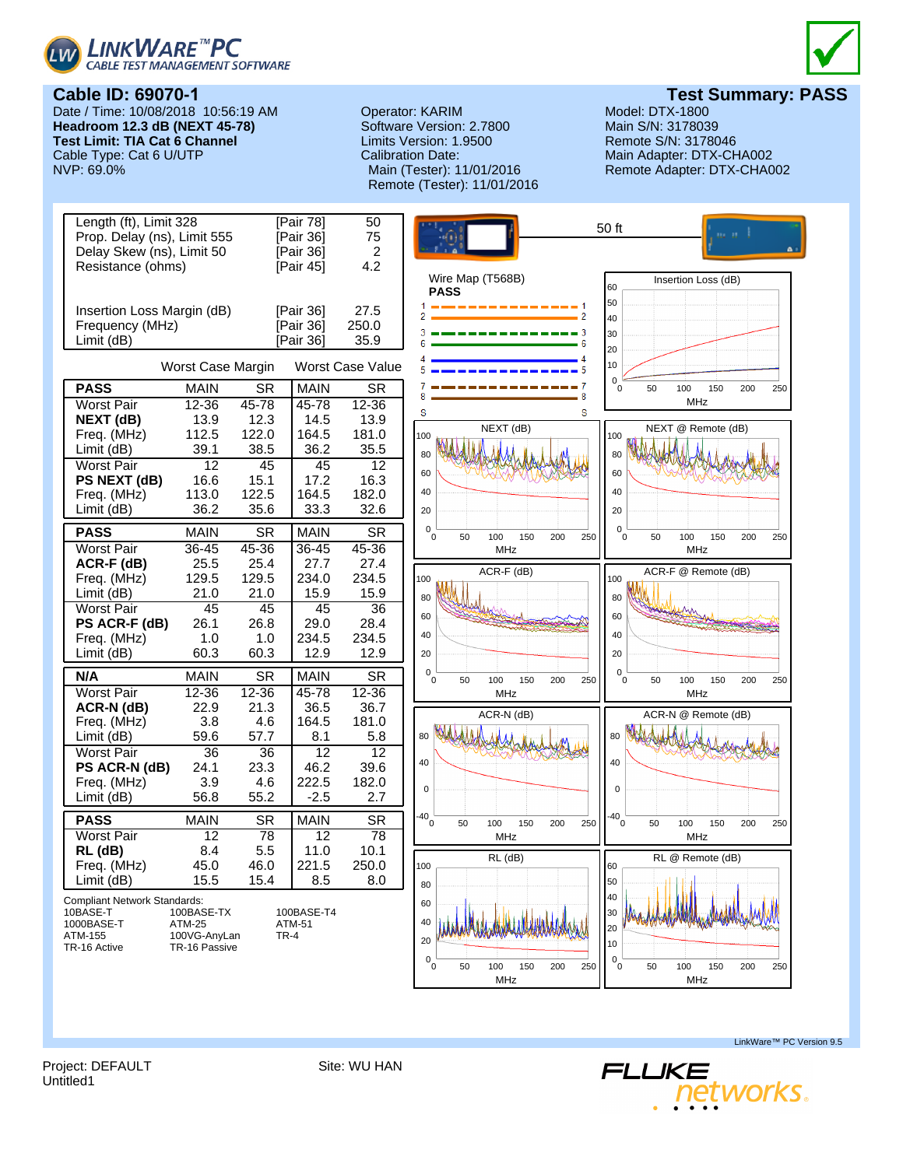





**Test Summary: PASS**<br>Model: DTX-1800

**Cable ID: 69070-1** Date / Time: 10/08/2018 10:56:19 AM **Headroom 12.3 dB (NEXT 45-78) Test Limit: TIA Cat 6 Channel** Cable Type: Cat 6 U/UTP<br>NVP: 69.0%

Operator: KARIM Model: DTX-1800<br>
Software Version: 2.7800 Main S/N: 3178039 Software Version: 2.7800 Limits Version: 1.9500 Remote S/N: 3178046 Calibration Date: Main Adapter: DTX-CHA002 Remote (Tester): 11/01/2016

Remote Adapter: DTX-CHA002



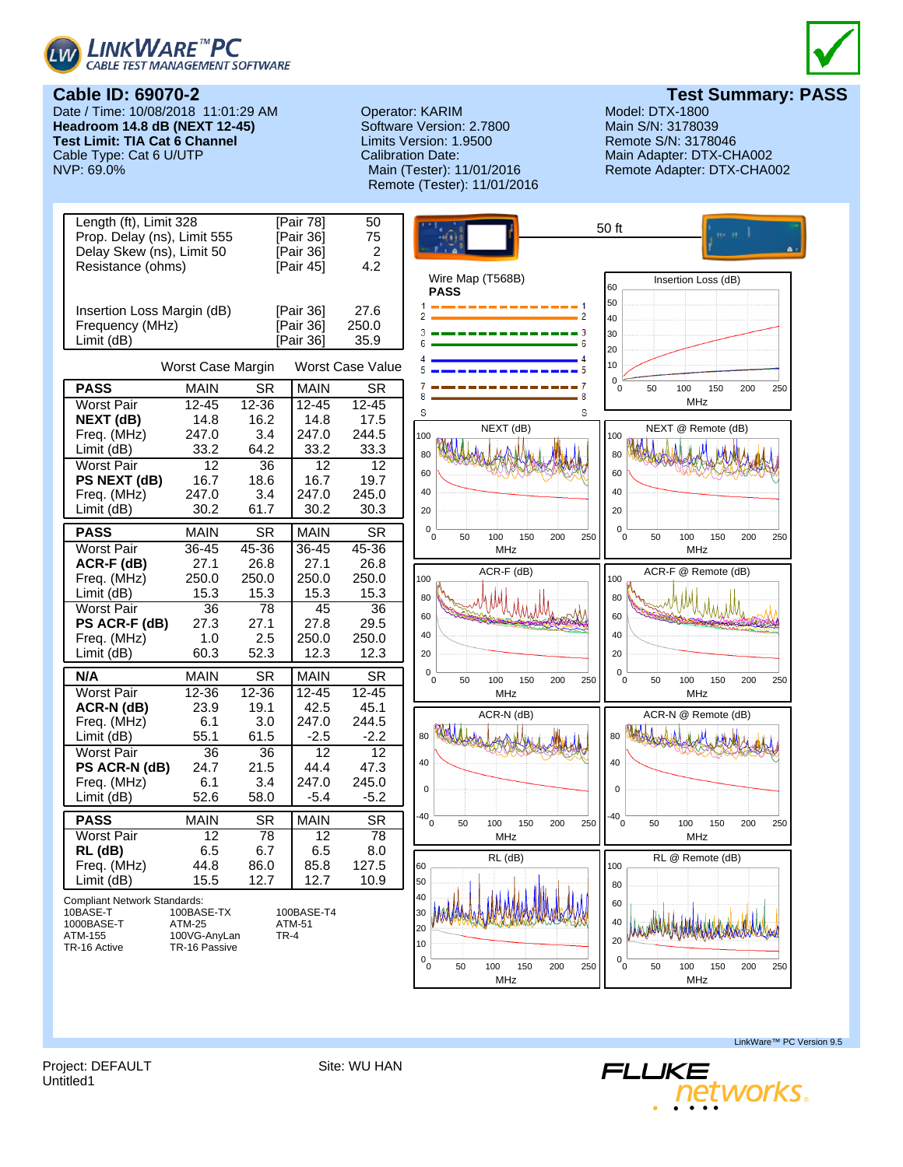



# **Cable ID: 69070-2**

Date / Time: 10/08/2018 11:01:29 AM **Headroom 14.8 dB (NEXT 12-45) Test Limit: TIA Cat 6 Channel** Cable Type: Cat 6 U/UTP<br>NVP: 69.0%

## Operator: KARIM Model: DTX-1800<br>
Software Version: 2.7800 Main S/N: 3178039 Software Version: 2.7800 Limits Version: 1.9500 Remote S/N: 3178046 Calibration Date: Main Adapter: DTX-CHA002 Remote (Tester): 11/01/2016

**Test Summary: PASS**<br>Model: DTX-1800

Remote Adapter: DTX-CHA002



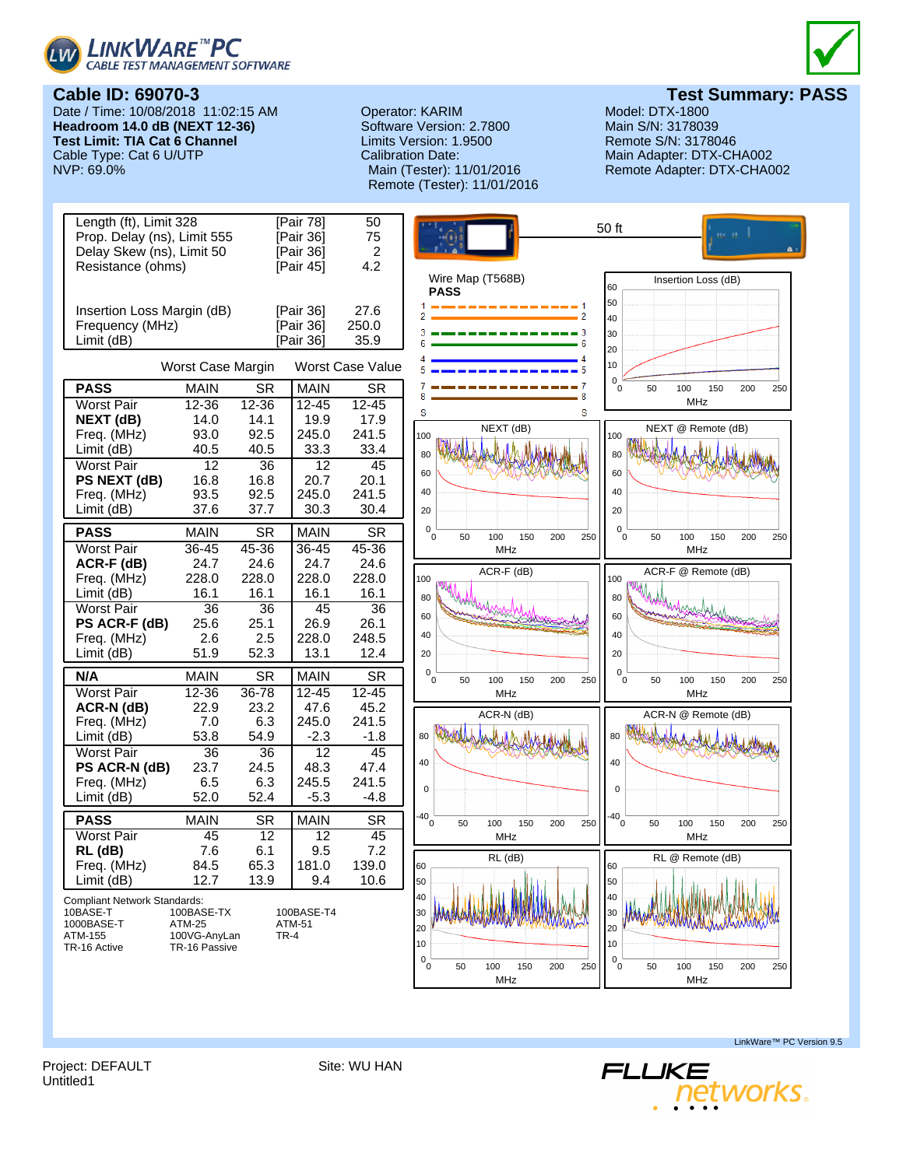



Date / Time: 10/08/2018 11:02:15 AM **Headroom 14.0 dB (NEXT 12-36) Test Limit: TIA Cat 6 Channel** Cable Type: Cat 6 U/UTP<br>NVP: 69.0%

## Operator: KARIM Model: DTX-1800<br>
Software Version: 2.7800 Main S/N: 3178039 Software Version: 2.7800 Limits Version: 1.9500 Remote S/N: 3178046 Calibration Date: Main Adapter: DTX-CHA002 Remote (Tester): 11/01/2016



**Test Summary: PASS**<br>Model: DTX-1800

Remote Adapter: DTX-CHA002



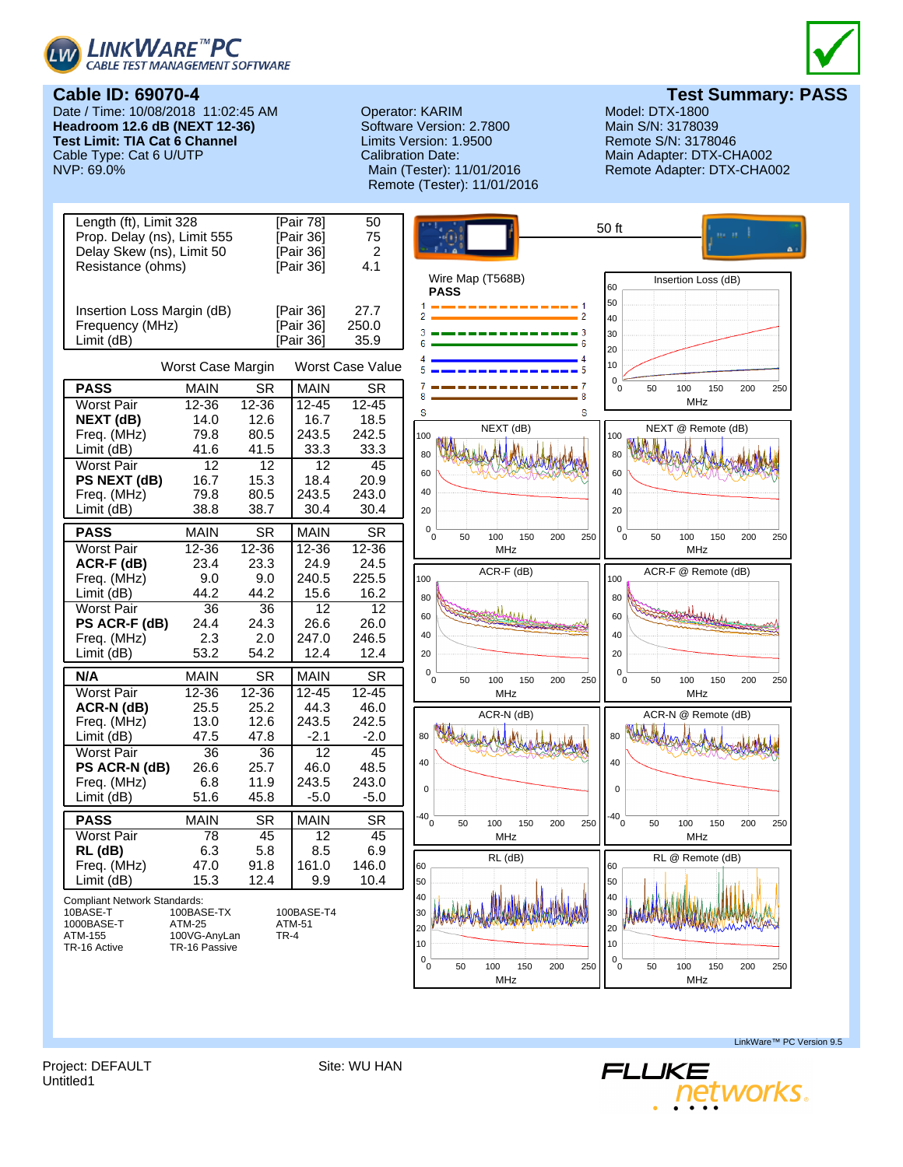



Date / Time: 10/08/2018 11:02:45 AM **Headroom 12.6 dB (NEXT 12-36) Test Limit: TIA Cat 6 Channel** Cable Type: Cat 6 U/UTP<br>NVP: 69.0%

## Operator: KARIM Model: DTX-1800<br>
Software Version: 2.7800 Main S/N: 3178039 Software Version: 2.7800 Limits Version: 1.9500 Remote S/N: 3178046 Calibration Date: Main Adapter: DTX-CHA002 Remote (Tester): 11/01/2016



**Test Summary: PASS**<br>Model: DTX-1800

Remote Adapter: DTX-CHA002



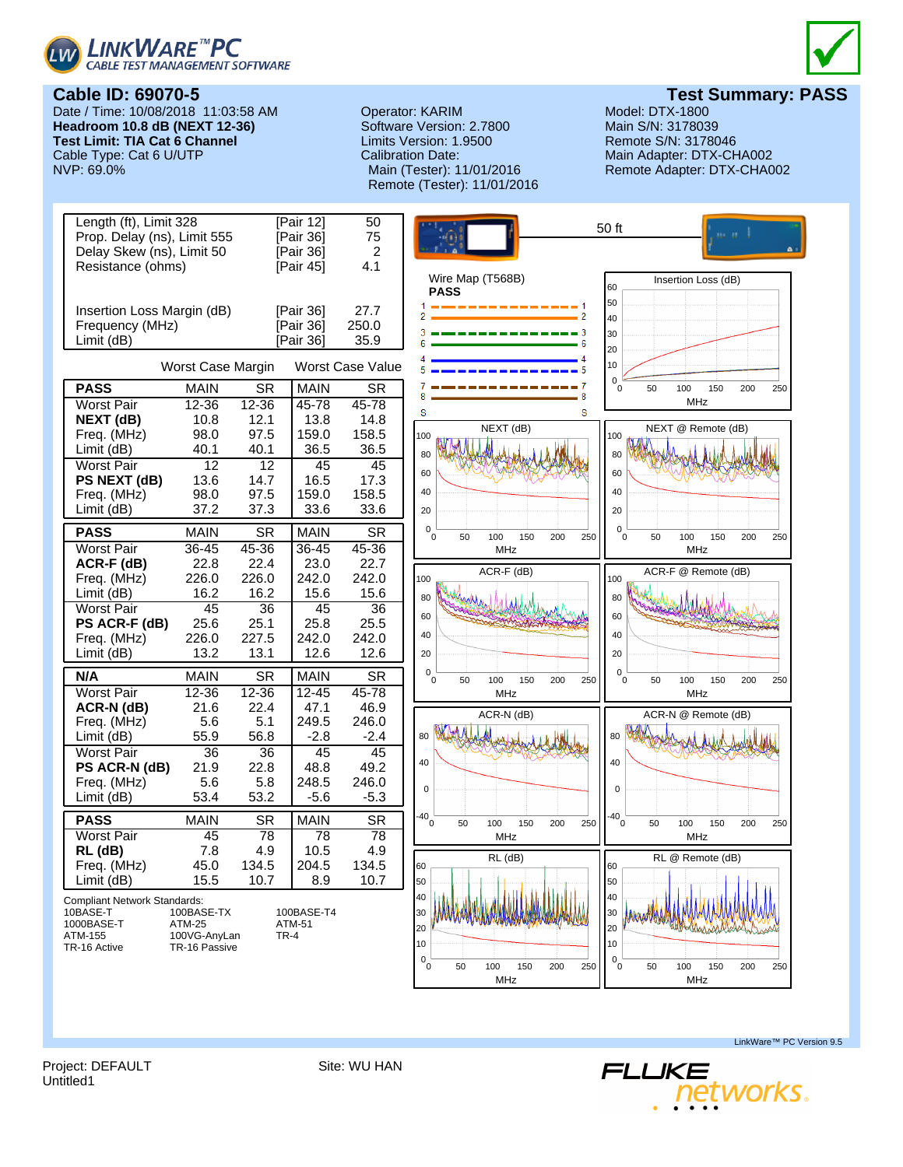



# **Cable ID: 69070-5**

Date / Time: 10/08/2018 11:03:58 AM **Headroom 10.8 dB (NEXT 12-36) Test Limit: TIA Cat 6 Channel** Cable Type: Cat 6 U/UTP<br>NVP: 69.0%

## Operator: KARIM Model: DTX-1800<br>
Software Version: 2.7800 Main S/N: 3178039 Software Version: 2.7800 Limits Version: 1.9500 Remote S/N: 3178046 Calibration Date: Main Adapter: DTX-CHA002 Remote (Tester): 11/01/2016

**Test Summary: PASS**<br>Model: DTX-1800

Remote Adapter: DTX-CHA002